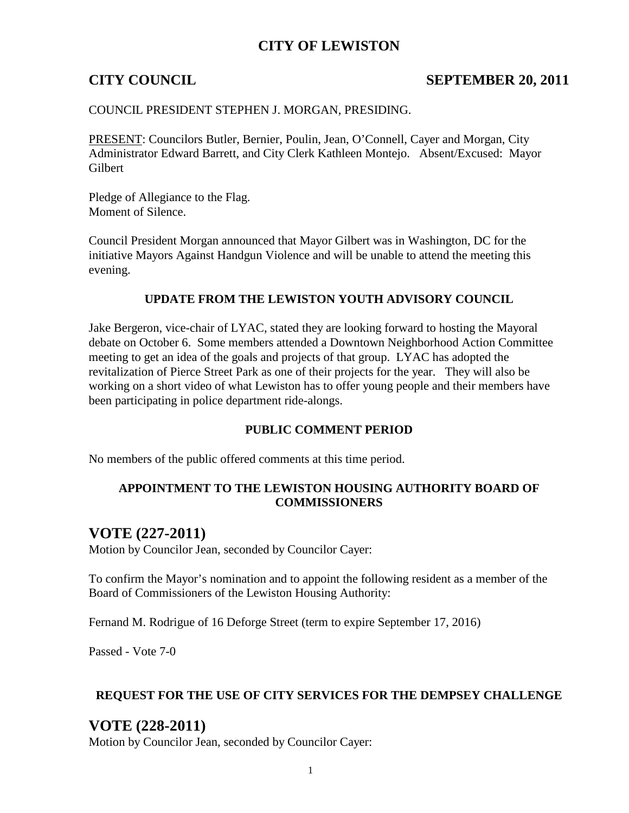## **CITY OF LEWISTON**

### **CITY COUNCIL** SEPTEMBER 20, 2011

#### COUNCIL PRESIDENT STEPHEN J. MORGAN, PRESIDING.

PRESENT: Councilors Butler, Bernier, Poulin, Jean, O'Connell, Cayer and Morgan, City Administrator Edward Barrett, and City Clerk Kathleen Montejo. Absent/Excused: Mayor Gilbert

Pledge of Allegiance to the Flag. Moment of Silence.

Council President Morgan announced that Mayor Gilbert was in Washington, DC for the initiative Mayors Against Handgun Violence and will be unable to attend the meeting this evening.

#### **UPDATE FROM THE LEWISTON YOUTH ADVISORY COUNCIL**

Jake Bergeron, vice-chair of LYAC, stated they are looking forward to hosting the Mayoral debate on October 6. Some members attended a Downtown Neighborhood Action Committee meeting to get an idea of the goals and projects of that group. LYAC has adopted the revitalization of Pierce Street Park as one of their projects for the year. They will also be working on a short video of what Lewiston has to offer young people and their members have been participating in police department ride-alongs.

#### **PUBLIC COMMENT PERIOD**

No members of the public offered comments at this time period.

#### **APPOINTMENT TO THE LEWISTON HOUSING AUTHORITY BOARD OF COMMISSIONERS**

### **VOTE (227-2011)**

Motion by Councilor Jean, seconded by Councilor Cayer:

To confirm the Mayor's nomination and to appoint the following resident as a member of the Board of Commissioners of the Lewiston Housing Authority:

Fernand M. Rodrigue of 16 Deforge Street (term to expire September 17, 2016)

Passed - Vote 7-0

#### **REQUEST FOR THE USE OF CITY SERVICES FOR THE DEMPSEY CHALLENGE**

## **VOTE (228-2011)**

Motion by Councilor Jean, seconded by Councilor Cayer: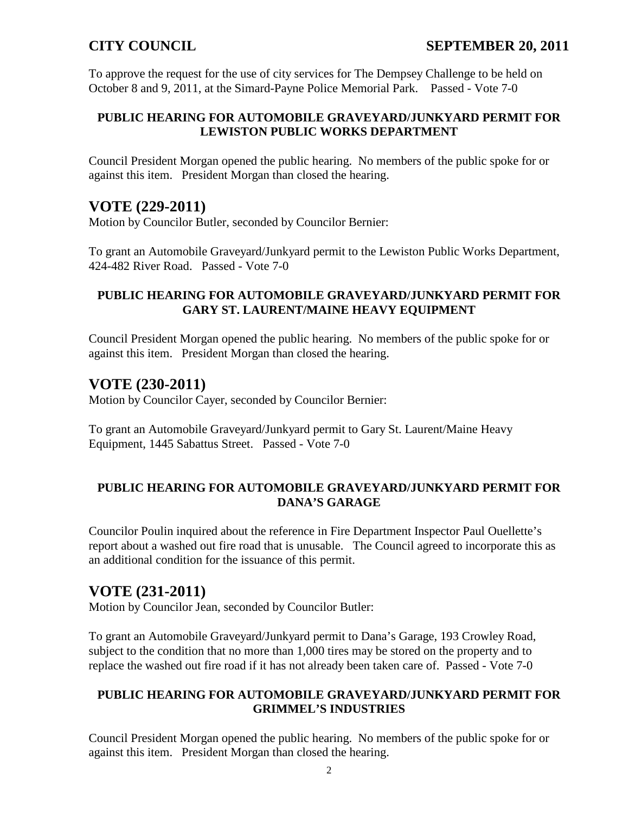To approve the request for the use of city services for The Dempsey Challenge to be held on October 8 and 9, 2011, at the Simard-Payne Police Memorial Park. Passed - Vote 7-0

### **PUBLIC HEARING FOR AUTOMOBILE GRAVEYARD/JUNKYARD PERMIT FOR LEWISTON PUBLIC WORKS DEPARTMENT**

Council President Morgan opened the public hearing. No members of the public spoke for or against this item. President Morgan than closed the hearing.

## **VOTE (229-2011)**

Motion by Councilor Butler, seconded by Councilor Bernier:

To grant an Automobile Graveyard/Junkyard permit to the Lewiston Public Works Department, 424-482 River Road. Passed - Vote 7-0

### **PUBLIC HEARING FOR AUTOMOBILE GRAVEYARD/JUNKYARD PERMIT FOR GARY ST. LAURENT/MAINE HEAVY EQUIPMENT**

Council President Morgan opened the public hearing. No members of the public spoke for or against this item. President Morgan than closed the hearing.

## **VOTE (230-2011)**

Motion by Councilor Cayer, seconded by Councilor Bernier:

To grant an Automobile Graveyard/Junkyard permit to Gary St. Laurent/Maine Heavy Equipment, 1445 Sabattus Street. Passed - Vote 7-0

### **PUBLIC HEARING FOR AUTOMOBILE GRAVEYARD/JUNKYARD PERMIT FOR DANA'S GARAGE**

Councilor Poulin inquired about the reference in Fire Department Inspector Paul Ouellette's report about a washed out fire road that is unusable. The Council agreed to incorporate this as an additional condition for the issuance of this permit.

# **VOTE (231-2011)**

Motion by Councilor Jean, seconded by Councilor Butler:

To grant an Automobile Graveyard/Junkyard permit to Dana's Garage, 193 Crowley Road, subject to the condition that no more than 1,000 tires may be stored on the property and to replace the washed out fire road if it has not already been taken care of. Passed - Vote 7-0

#### **PUBLIC HEARING FOR AUTOMOBILE GRAVEYARD/JUNKYARD PERMIT FOR GRIMMEL'S INDUSTRIES**

Council President Morgan opened the public hearing. No members of the public spoke for or against this item. President Morgan than closed the hearing.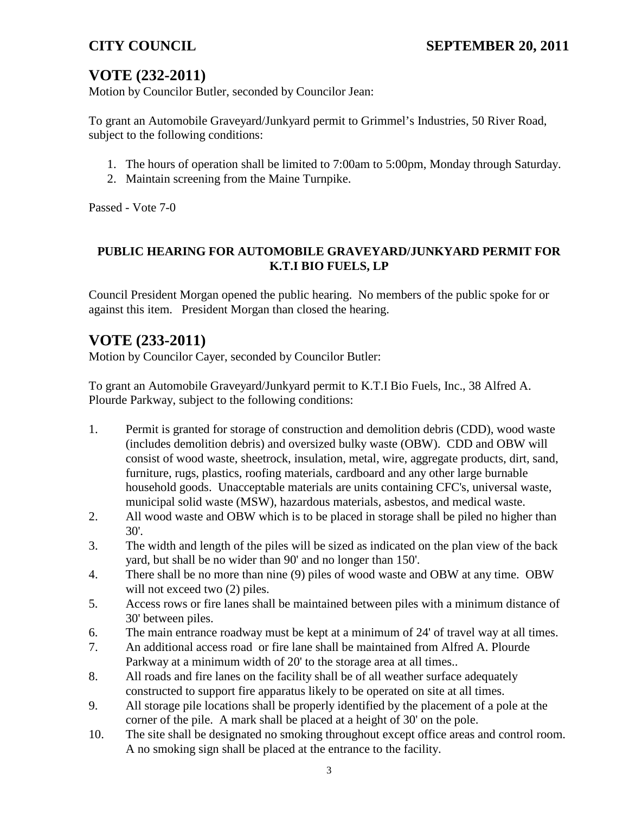# **VOTE (232-2011)**

Motion by Councilor Butler, seconded by Councilor Jean:

To grant an Automobile Graveyard/Junkyard permit to Grimmel's Industries, 50 River Road, subject to the following conditions:

- 1. The hours of operation shall be limited to 7:00am to 5:00pm, Monday through Saturday.
- 2. Maintain screening from the Maine Turnpike.

Passed - Vote 7-0

## **PUBLIC HEARING FOR AUTOMOBILE GRAVEYARD/JUNKYARD PERMIT FOR K.T.I BIO FUELS, LP**

Council President Morgan opened the public hearing. No members of the public spoke for or against this item. President Morgan than closed the hearing.

# **VOTE (233-2011)**

Motion by Councilor Cayer, seconded by Councilor Butler:

To grant an Automobile Graveyard/Junkyard permit to K.T.I Bio Fuels, Inc., 38 Alfred A. Plourde Parkway, subject to the following conditions:

- 1. Permit is granted for storage of construction and demolition debris (CDD), wood waste (includes demolition debris) and oversized bulky waste (OBW). CDD and OBW will consist of wood waste, sheetrock, insulation, metal, wire, aggregate products, dirt, sand, furniture, rugs, plastics, roofing materials, cardboard and any other large burnable household goods. Unacceptable materials are units containing CFC's, universal waste, municipal solid waste (MSW), hazardous materials, asbestos, and medical waste.
- 2. All wood waste and OBW which is to be placed in storage shall be piled no higher than 30'.
- 3. The width and length of the piles will be sized as indicated on the plan view of the back yard, but shall be no wider than 90' and no longer than 150'.
- 4. There shall be no more than nine (9) piles of wood waste and OBW at any time. OBW will not exceed two  $(2)$  piles.
- 5. Access rows or fire lanes shall be maintained between piles with a minimum distance of 30' between piles.
- 6. The main entrance roadway must be kept at a minimum of 24' of travel way at all times.
- 7. An additional access road or fire lane shall be maintained from Alfred A. Plourde Parkway at a minimum width of 20' to the storage area at all times..
- 8. All roads and fire lanes on the facility shall be of all weather surface adequately constructed to support fire apparatus likely to be operated on site at all times.
- 9. All storage pile locations shall be properly identified by the placement of a pole at the corner of the pile. A mark shall be placed at a height of 30' on the pole.
- 10. The site shall be designated no smoking throughout except office areas and control room. A no smoking sign shall be placed at the entrance to the facility.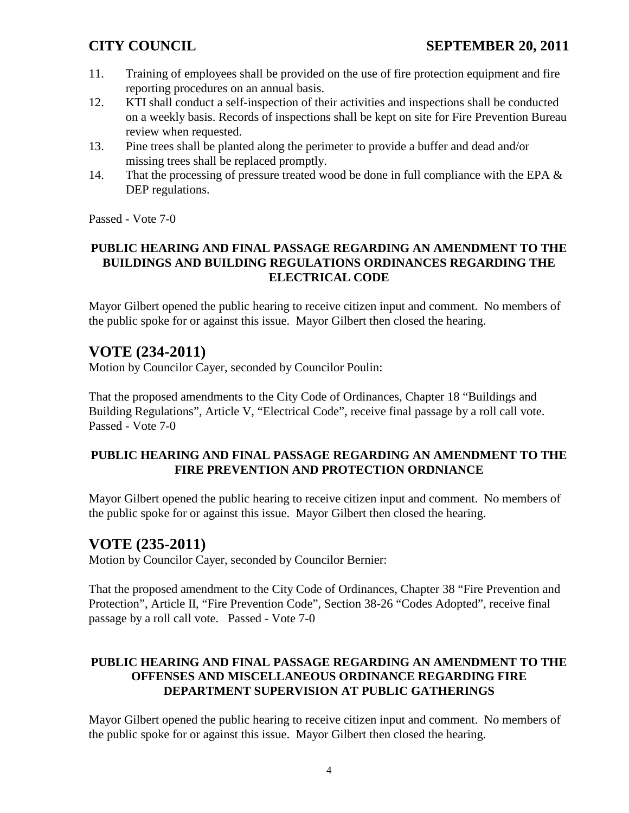- 11. Training of employees shall be provided on the use of fire protection equipment and fire reporting procedures on an annual basis.
- 12. KTI shall conduct a self-inspection of their activities and inspections shall be conducted on a weekly basis. Records of inspections shall be kept on site for Fire Prevention Bureau review when requested.
- 13. Pine trees shall be planted along the perimeter to provide a buffer and dead and/or missing trees shall be replaced promptly.
- 14. That the processing of pressure treated wood be done in full compliance with the EPA  $\&$ DEP regulations.

Passed - Vote 7-0

#### **PUBLIC HEARING AND FINAL PASSAGE REGARDING AN AMENDMENT TO THE BUILDINGS AND BUILDING REGULATIONS ORDINANCES REGARDING THE ELECTRICAL CODE**

Mayor Gilbert opened the public hearing to receive citizen input and comment. No members of the public spoke for or against this issue. Mayor Gilbert then closed the hearing.

# **VOTE (234-2011)**

Motion by Councilor Cayer, seconded by Councilor Poulin:

That the proposed amendments to the City Code of Ordinances, Chapter 18 "Buildings and Building Regulations", Article V, "Electrical Code", receive final passage by a roll call vote. Passed - Vote 7-0

### **PUBLIC HEARING AND FINAL PASSAGE REGARDING AN AMENDMENT TO THE FIRE PREVENTION AND PROTECTION ORDNIANCE**

Mayor Gilbert opened the public hearing to receive citizen input and comment. No members of the public spoke for or against this issue. Mayor Gilbert then closed the hearing.

# **VOTE (235-2011)**

Motion by Councilor Cayer, seconded by Councilor Bernier:

That the proposed amendment to the City Code of Ordinances, Chapter 38 "Fire Prevention and Protection", Article II, "Fire Prevention Code", Section 38-26 "Codes Adopted", receive final passage by a roll call vote. Passed - Vote 7-0

### **PUBLIC HEARING AND FINAL PASSAGE REGARDING AN AMENDMENT TO THE OFFENSES AND MISCELLANEOUS ORDINANCE REGARDING FIRE DEPARTMENT SUPERVISION AT PUBLIC GATHERINGS**

Mayor Gilbert opened the public hearing to receive citizen input and comment. No members of the public spoke for or against this issue. Mayor Gilbert then closed the hearing.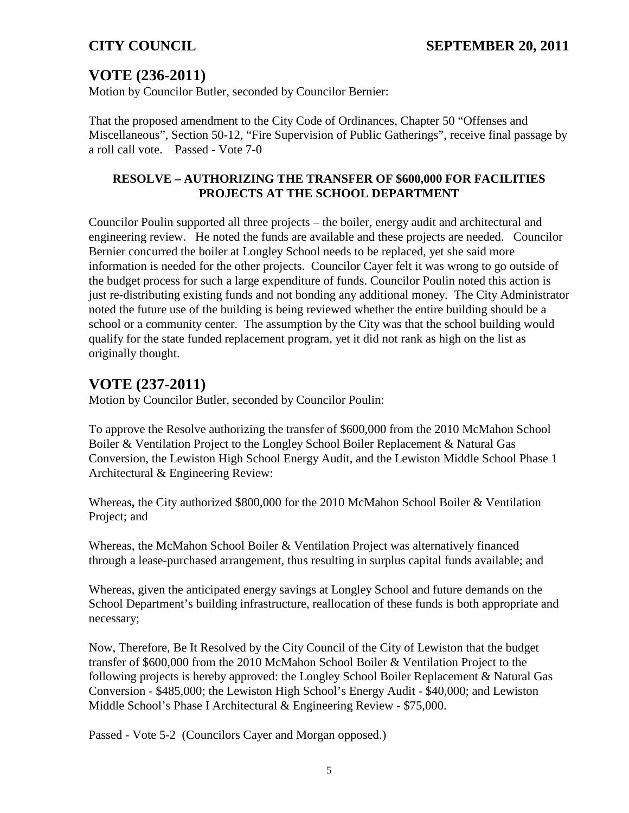# **VOTE (236-2011)**

Motion by Councilor Butler, seconded by Councilor Bernier:

That the proposed amendment to the City Code of Ordinances, Chapter 50 "Offenses and Miscellaneous", Section 50-12, "Fire Supervision of Public Gatherings", receive final passage by a roll call vote. Passed - Vote 7-0

### **RESOLVE – AUTHORIZING THE TRANSFER OF \$600,000 FOR FACILITIES PROJECTS AT THE SCHOOL DEPARTMENT**

Councilor Poulin supported all three projects – the boiler, energy audit and architectural and engineering review. He noted the funds are available and these projects are needed. Councilor Bernier concurred the boiler at Longley School needs to be replaced, yet she said more information is needed for the other projects. Councilor Cayer felt it was wrong to go outside of the budget process for such a large expenditure of funds. Councilor Poulin noted this action is just re-distributing existing funds and not bonding any additional money. The City Administrator noted the future use of the building is being reviewed whether the entire building should be a school or a community center. The assumption by the City was that the school building would qualify for the state funded replacement program, yet it did not rank as high on the list as originally thought.

# **VOTE (237-2011)**

Motion by Councilor Butler, seconded by Councilor Poulin:

To approve the Resolve authorizing the transfer of \$600,000 from the 2010 McMahon School Boiler & Ventilation Project to the Longley School Boiler Replacement & Natural Gas Conversion, the Lewiston High School Energy Audit, and the Lewiston Middle School Phase 1 Architectural & Engineering Review:

Whereas**,** the City authorized \$800,000 for the 2010 McMahon School Boiler & Ventilation Project; and

Whereas, the McMahon School Boiler & Ventilation Project was alternatively financed through a lease-purchased arrangement, thus resulting in surplus capital funds available; and

Whereas, given the anticipated energy savings at Longley School and future demands on the School Department's building infrastructure, reallocation of these funds is both appropriate and necessary;

Now, Therefore, Be It Resolved by the City Council of the City of Lewiston that the budget transfer of \$600,000 from the 2010 McMahon School Boiler & Ventilation Project to the following projects is hereby approved: the Longley School Boiler Replacement & Natural Gas Conversion - \$485,000; the Lewiston High School's Energy Audit - \$40,000; and Lewiston Middle School's Phase I Architectural & Engineering Review - \$75,000.

Passed - Vote 5-2 (Councilors Cayer and Morgan opposed.)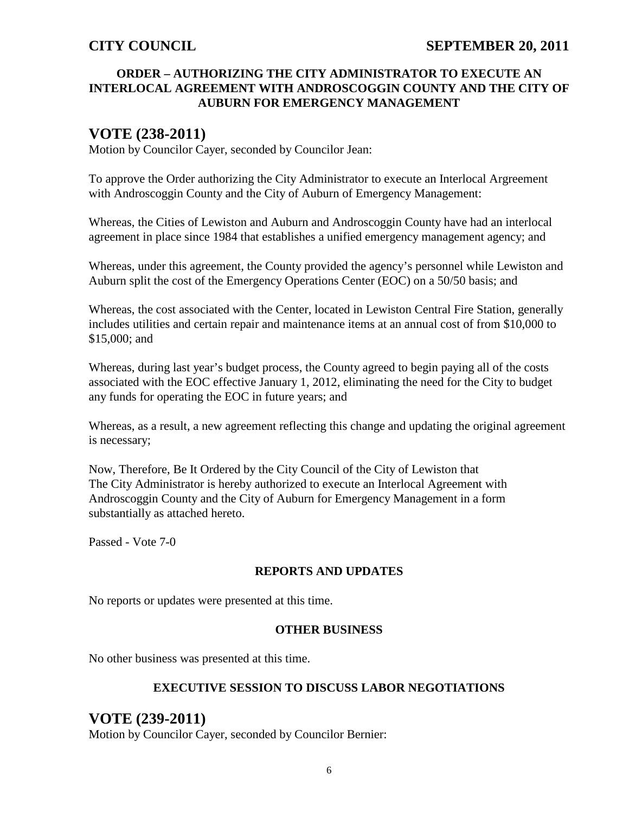#### **ORDER – AUTHORIZING THE CITY ADMINISTRATOR TO EXECUTE AN INTERLOCAL AGREEMENT WITH ANDROSCOGGIN COUNTY AND THE CITY OF AUBURN FOR EMERGENCY MANAGEMENT**

## **VOTE (238-2011)**

Motion by Councilor Cayer, seconded by Councilor Jean:

To approve the Order authorizing the City Administrator to execute an Interlocal Argreement with Androscoggin County and the City of Auburn of Emergency Management:

Whereas, the Cities of Lewiston and Auburn and Androscoggin County have had an interlocal agreement in place since 1984 that establishes a unified emergency management agency; and

Whereas, under this agreement, the County provided the agency's personnel while Lewiston and Auburn split the cost of the Emergency Operations Center (EOC) on a 50/50 basis; and

Whereas, the cost associated with the Center, located in Lewiston Central Fire Station, generally includes utilities and certain repair and maintenance items at an annual cost of from \$10,000 to \$15,000; and

Whereas, during last year's budget process, the County agreed to begin paying all of the costs associated with the EOC effective January 1, 2012, eliminating the need for the City to budget any funds for operating the EOC in future years; and

Whereas, as a result, a new agreement reflecting this change and updating the original agreement is necessary;

Now, Therefore, Be It Ordered by the City Council of the City of Lewiston that The City Administrator is hereby authorized to execute an Interlocal Agreement with Androscoggin County and the City of Auburn for Emergency Management in a form substantially as attached hereto.

Passed - Vote 7-0

#### **REPORTS AND UPDATES**

No reports or updates were presented at this time.

#### **OTHER BUSINESS**

No other business was presented at this time.

#### **EXECUTIVE SESSION TO DISCUSS LABOR NEGOTIATIONS**

## **VOTE (239-2011)**

Motion by Councilor Cayer, seconded by Councilor Bernier: